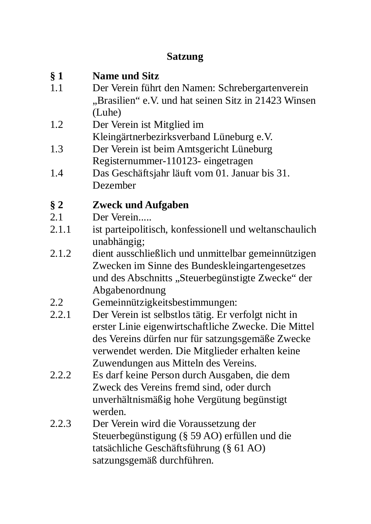# **Satzung**

| § 1<br>1.1 | <b>Name und Sitz</b><br>Der Verein führt den Namen: Schrebergartenverein<br>"Brasilien" e.V. und hat seinen Sitz in 21423 Winsen<br>(Luhe)                                                                                                                  |
|------------|-------------------------------------------------------------------------------------------------------------------------------------------------------------------------------------------------------------------------------------------------------------|
| 1.2        | Der Verein ist Mitglied im<br>Kleingärtnerbezirksverband Lüneburg e.V.                                                                                                                                                                                      |
| 1.3        | Der Verein ist beim Amtsgericht Lüneburg<br>Registernummer-110123- eingetragen                                                                                                                                                                              |
| 1.4        | Das Geschäftsjahr läuft vom 01. Januar bis 31.<br>Dezember                                                                                                                                                                                                  |
| $§$ 2      | <b>Zweck und Aufgaben</b>                                                                                                                                                                                                                                   |
| 2.1        | Der Verein                                                                                                                                                                                                                                                  |
| 2.1.1      | ist parteipolitisch, konfessionell und weltanschaulich<br>unabhängig;                                                                                                                                                                                       |
| 2.1.2      | dient ausschließlich und unmittelbar gemeinnützigen<br>Zwecken im Sinne des Bundeskleingartengesetzes<br>und des Abschnitts "Steuerbegünstigte Zwecke" der<br>Abgabenordnung                                                                                |
| 2.2        | Gemeinnützigkeitsbestimmungen:                                                                                                                                                                                                                              |
| 2.2.1      | Der Verein ist selbstlos tätig. Er verfolgt nicht in<br>erster Linie eigenwirtschaftliche Zwecke. Die Mittel<br>des Vereins dürfen nur für satzungsgemäße Zwecke<br>verwendet werden. Die Mitglieder erhalten keine<br>Zuwendungen aus Mitteln des Vereins. |
| 2.2.2      | Es darf keine Person durch Ausgaben, die dem<br>Zweck des Vereins fremd sind, oder durch<br>unverhältnismäßig hohe Vergütung begünstigt<br>werden.                                                                                                          |
| 2.2.3      | Der Verein wird die Voraussetzung der<br>Steuerbegünstigung (§ 59 AO) erfüllen und die<br>tatsächliche Geschäftsführung (§ 61 AO)<br>satzungsgemäß durchführen.                                                                                             |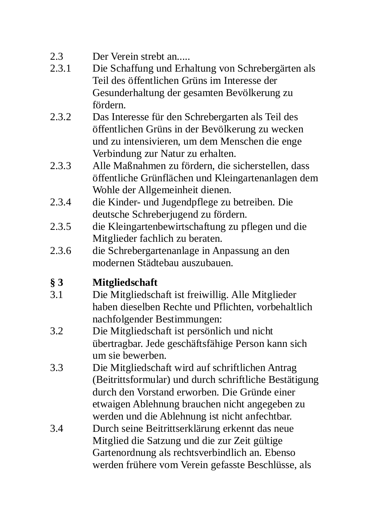#### $2.3$ Der Verein streht an.....

- $231$ Die Schaffung und Erhaltung von Schrebergärten als Teil des öffentlichen Grüns im Interesse der Gesunderhaltung der gesamten Bevölkerung zu fördern.
- Das Interesse für den Schrebergarten als Teil des  $232$ öffentlichen Grüns in der Bevölkerung zu wecken und zu intensivieren, um dem Menschen die enge Verbindung zur Natur zu erhalten.
- 2.3.3 Alle Maßnahmen zu fördern, die sicherstellen, dass öffentliche Grünflächen und Kleingartenanlagen dem Wohle der Allgemeinheit dienen.
- 234 die Kinder- und Jugendpflege zu betreiben. Die deutsche Schreberjugend zu fördern.
- 2.3.5 die Kleingartenbewirtschaftung zu pflegen und die Mitglieder fachlich zu beraten.
- 2.3.6 die Schrebergartenanlage in Anpassung an den modernen Städtebau auszubauen.

# $\delta$  3 **Mitgliedschaft**

- $3.1$ Die Mitgliedschaft ist freiwillig. Alle Mitglieder haben dieselben Rechte und Pflichten, vorbehaltlich nachfolgender Bestimmungen:
- $3.2$ Die Mitgliedschaft ist persönlich und nicht übertragbar. Jede geschäftsfähige Person kann sich um sie bewerben.
- $3.3$ Die Mitgliedschaft wird auf schriftlichen Antrag (Beitrittsformular) und durch schriftliche Bestätigung durch den Vorstand erworben. Die Gründe einer etwaigen Ablehnung brauchen nicht angegeben zu werden und die Ablehnung ist nicht anfechtbar.
- Durch seine Beitrittserklärung erkennt das neue 3.4 Mitglied die Satzung und die zur Zeit gültige Gartenordnung als rechtsverbindlich an. Ebenso werden frühere vom Verein gefasste Beschlüsse, als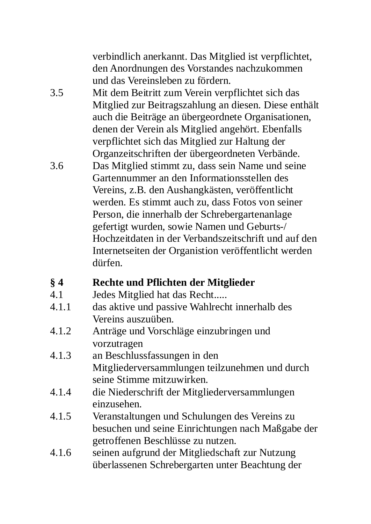verbindlich anerkannt. Das Mitglied ist verpflichtet, den Anordnungen des Vorstandes nachzukommen und das Vereinsleben zu fördern.

- $3.5$ Mit dem Beitritt zum Verein verpflichtet sich das Mitglied zur Beitragszahlung an diesen. Diese enthält auch die Beiträge an übergeordnete Organisationen, denen der Verein als Mitglied angehört. Ebenfalls verpflichtet sich das Mitglied zur Haltung der Organzeitschriften der übergeordneten Verbände.
- 3.6 Das Mitglied stimmt zu, dass sein Name und seine Gartennummer an den Informationsstellen des Vereins, z.B. den Aushangkästen, veröffentlicht werden. Es stimmt auch zu, dass Fotos von seiner Person, die innerhalb der Schrebergartenanlage gefertigt wurden, sowie Namen und Geburts-/ Hochzeitdaten in der Verbandszeitschrift und auf den Internetseiten der Organistion veröffentlicht werden dürfen

#### $\delta$  4 Rechte und Pflichten der Mitglieder

- $4.1$ Jedes Mitglied hat das Recht.....
- $4.1.1$ das aktive und passive Wahlrecht innerhalb des Vereins auszuüben.
- Anträge und Vorschläge einzubringen und  $4.1.2$ vorzutragen
- $4.1.3$ an Beschlussfassungen in den Mitgliederversammlungen teilzunehmen und durch seine Stimme mitzuwirken.
- $4.1.4$ die Niederschrift der Mitgliederversammlungen einzusehen.
- 4.1.5 Veranstaltungen und Schulungen des Vereins zu besuchen und seine Einrichtungen nach Maßgabe der getroffenen Beschlüsse zu nutzen.
- $4.1.6$ seinen aufgrund der Mitgliedschaft zur Nutzung überlassenen Schrebergarten unter Beachtung der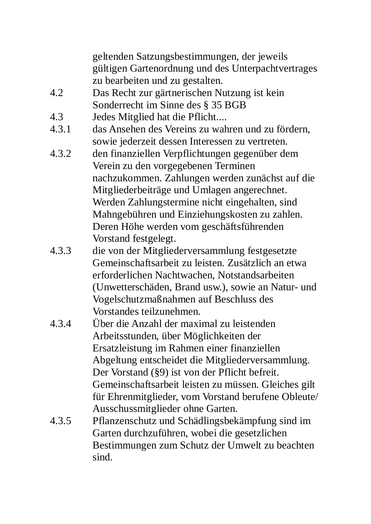geltenden Satzungsbestimmungen, der jeweils gültigen Gartenordnung und des Unterpachtvertrages zu bearbeiten und zu gestalten.

- $4.2$ Das Recht zur gärtnerischen Nutzung ist kein Sonderrecht im Sinne des § 35 BGB
- 4.3 Jedes Mitglied hat die Pflicht....
- $431$ das Ansehen des Vereins zu wahren und zu fördern. sowie jederzeit dessen Interessen zu vertreten.
- 4.3.2 den finanziellen Verpflichtungen gegenüber dem Verein zu den vorgegebenen Terminen nachzukommen. Zahlungen werden zunächst auf die Mitgliederbeiträge und Umlagen angerechnet. Werden Zahlungstermine nicht eingehalten, sind Mahngebühren und Einziehungskosten zu zahlen. Deren Höhe werden vom geschäftsführenden Vorstand festgelegt.
- 4.3.3 die von der Mitgliederversammlung festgesetzte Gemeinschaftsarbeit zu leisten. Zusätzlich an etwa erforderlichen Nachtwachen. Notstandsarbeiten (Unwetterschäden, Brand usw.), sowie an Natur- und Vogelschutzmaßnahmen auf Beschluss des Vorstandes teilzunehmen.
- 434 Über die Anzahl der maximal zu leistenden. Arbeitsstunden, über Möglichkeiten der Ersatzleistung im Rahmen einer finanziellen Abgeltung entscheidet die Mitgliederversammlung. Der Vorstand (§9) ist von der Pflicht befreit. Gemeinschaftsarbeit leisten zu müssen. Gleiches gilt für Ehrenmitglieder, vom Vorstand berufene Obleute/ Ausschussmitglieder ohne Garten.
- 4.3.5 Pflanzenschutz und Schädlingsbekämpfung sind im Garten durchzuführen, wobei die gesetzlichen Bestimmungen zum Schutz der Umwelt zu beachten sind.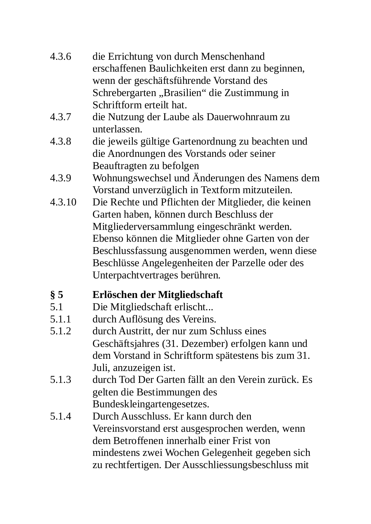- die Errichtung von durch Menschenhand 4.3.6 erschaffenen Baulichkeiten erst dann zu beginnen, wenn der geschäftsführende Vorstand des Schrebergarten "Brasilien" die Zustimmung in Schriftform erteilt hat.
- 437 die Nutzung der Laube als Dauerwohnraum zu unterlassen.
- 4.3.8 die jeweils gültige Gartenordnung zu beachten und die Anordnungen des Vorstands oder seiner Beauftragten zu befolgen
- Wohnungswechsel und Änderungen des Namens dem 4.3.9 Vorstand unverzüglich in Textform mitzuteilen.
- Die Rechte und Pflichten der Mitglieder, die keinen 4.3.10 Garten haben, können durch Beschluss der Mitgliederversammlung eingeschränkt werden. Ebenso können die Mitglieder ohne Garten von der Beschlussfassung ausgenommen werden, wenn diese Beschlüsse Angelegenheiten der Parzelle oder des Unterpachtvertrages berühren.

# $\delta$  5 Erlöschen der Mitgliedschaft

- $5.1$ Die Mitgliedschaft erlischt...
- $5.1.1$ durch Auflösung des Vereins.
- $5.1.2$ durch Austritt, der nur zum Schluss eines Geschäftsjahres (31. Dezember) erfolgen kann und dem Vorstand in Schriftform spätestens bis zum 31. Juli, anzuzeigen ist.
- $5.1.3$ durch Tod Der Garten fällt an den Verein zurück. Es gelten die Bestimmungen des Bundeskleingartengesetzes.
- $5.1.4$ Durch Ausschluss. Er kann durch den Vereinsvorstand erst ausgesprochen werden, wenn dem Betroffenen innerhalb einer Frist von mindestens zwei Wochen Gelegenheit gegeben sich zu rechtfertigen. Der Ausschliessungsbeschluss mit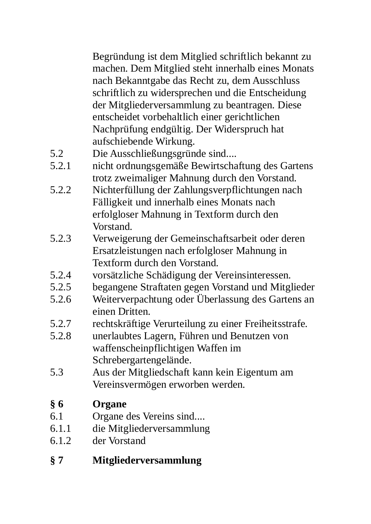Begründung ist dem Mitglied schriftlich bekannt zu machen. Dem Mitglied steht innerhalb eines Monats nach Bekanntgabe das Recht zu, dem Ausschluss schriftlich zu widersprechen und die Entscheidung der Mitgliederversammlung zu beantragen. Diese entscheidet vorbehaltlich einer gerichtlichen Nachprüfung endgültig. Der Widerspruch hat aufschiebende Wirkung.

- $5.2$ Die Ausschließungsgründe sind....
- $5.2.1$ nicht ordnungsgemäße Bewirtschaftung des Gartens trotz zweimaliger Mahnung durch den Vorstand.
- 5.2.2 Nichterfüllung der Zahlungsverpflichtungen nach Fälligkeit und innerhalb eines Monats nach erfolgloser Mahnung in Textform durch den Vorstand.
- $5.2.3$ Verweigerung der Gemeinschaftsarbeit oder deren Ersatzleistungen nach erfolgloser Mahnung in Textform durch den Vorstand.
- $5.2.4$ vorsätzliche Schädigung der Vereinsinteressen.
- $5.2.5$ begangene Straftaten gegen Vorstand und Mitglieder
- $5.2.6$ Weiterverpachtung oder Überlassung des Gartens an einen Dritten.
- $5.2.7$ rechtskräftige Verurteilung zu einer Freiheitsstrafe.
- $5.2.8$ unerlaubtes Lagern, Führen und Benutzen von waffenscheinpflichtigen Waffen im Schrebergartengelände.
- 5.3 Aus der Mitgliedschaft kann kein Eigentum am Vereinsvermögen erworben werden.

# $\delta$  6 Organe

- 61 Organe des Vereins sind....
- $6.1.1$ die Mitgliederversammlung
- $6.1.2$ der Vorstand

# Mitgliederversammlung  $\delta$  7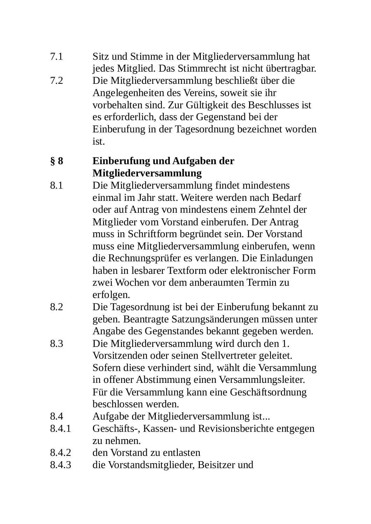- $7.1$ Sitz und Stimme in der Mitgliederversammlung hat jedes Mitglied. Das Stimmrecht ist nicht übertragbar.
- $72$ Die Mitgliederversammlung beschließt über die Angelegenheiten des Vereins, soweit sie ihr vorbehalten sind. Zur Gültigkeit des Beschlusses ist es erforderlich, dass der Gegenstand bei der Einberufung in der Tagesordnung bezeichnet worden ist.

# $\delta$  8 Einberufung und Aufgaben der Mitgliederversammlung

- $8.1$ Die Mitgliederversammlung findet mindestens einmal im Jahr statt. Weitere werden nach Bedarf oder auf Antrag von mindestens einem Zehntel der Mitglieder vom Vorstand einberufen. Der Antrag muss in Schriftform begründet sein. Der Vorstand muss eine Mitgliederversammlung einberufen, wenn die Rechnungsprüfer es verlangen. Die Einladungen haben in lesbarer Textform oder elektronischer Form zwei Wochen vor dem anberaumten Termin zu erfolgen.
- $8.2$ Die Tagesordnung ist bei der Einberufung bekannt zu geben. Beantragte Satzungsänderungen müssen unter Angabe des Gegenstandes bekannt gegeben werden.
- 8.3 Die Mitgliederversammlung wird durch den 1. Vorsitzenden oder seinen Stellvertreter geleitet. Sofern diese verhindert sind, wählt die Versammlung in offener Abstimmung einen Versammlungsleiter. Für die Versammlung kann eine Geschäftsordnung beschlossen werden.
- 8.4 Aufgabe der Mitgliederversammlung ist...
- 8.4.1 Geschäfts-, Kassen- und Revisionsberichte entgegen zu nehmen
- 8.4.2 den Vorstand zu entlasten
- 8.4.3 die Vorstandsmitglieder, Beisitzer und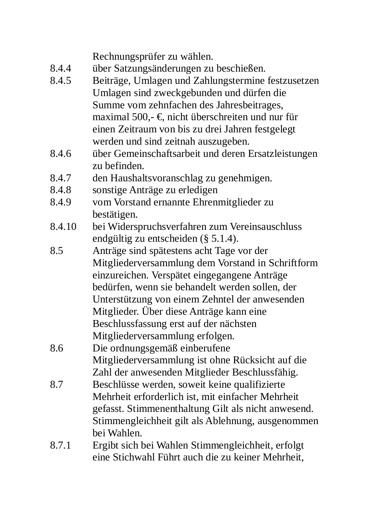Rechnungsprüfer zu wählen.

- 8.4.4 über Satzungsänderungen zu beschießen.
- 845 Beiträge, Umlagen und Zahlungstermine festzusetzen Umlagen sind zweckgebunden und dürfen die Summe vom zehnfachen des Jahresbeitrages, maximal 500.- €, nicht überschreiten und nur für einen Zeitraum von bis zu drei Jahren festgelegt werden und sind zeitnah auszugeben.
- 846 über Gemeinschaftsarbeit und deren Ersatzleistungen zu befinden.
- 8.4.7 den Haushaltsvoranschlag zu genehmigen.
- 8.4.8 sonstige Anträge zu erledigen
- 849 vom Vorstand ernannte Ehrenmitglieder zu bestätigen.
- 8.4.10 bei Widerspruchsverfahren zum Vereinsauschluss endgültig zu entscheiden (§ 5.1.4).
- 8.5 Anträge sind spätestens acht Tage vor der Mitgliederversammlung dem Vorstand in Schriftform einzureichen. Verspätet eingegangene Anträge bedürfen, wenn sie behandelt werden sollen, der Unterstützung von einem Zehntel der anwesenden Mitglieder. Über diese Anträge kann eine Beschlussfassung erst auf der nächsten Mitgliederversammlung erfolgen.
- 8.6 Die ordnungsgemäß einberufene Mitgliederversammlung ist ohne Rücksicht auf die Zahl der anwesenden Mitglieder Beschlussfähig.
- 8.7 Beschlüsse werden, soweit keine qualifizierte Mehrheit erforderlich ist, mit einfacher Mehrheit gefasst. Stimmenenthaltung Gilt als nicht anwesend. Stimmengleichheit gilt als Ablehnung, ausgenommen bei Wahlen.
- 871 Ergibt sich bei Wahlen Stimmengleichheit, erfolgt eine Stichwahl Führt auch die zu keiner Mehrheit.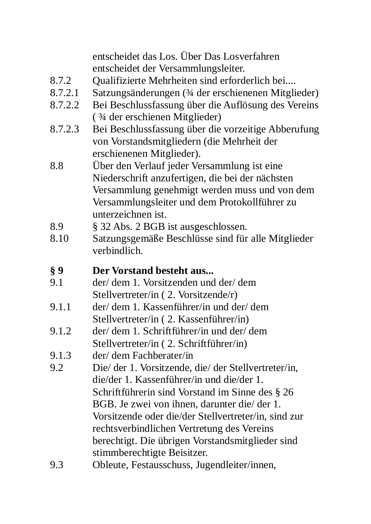entscheidet das Los. Über Das Losverfahren entscheidet der Versammlungsleiter.

- 872 Qualifizierte Mehrheiten sind erforderlich bei....
- 8.7.2.1 Satzungsänderungen (¾ der erschienenen Mitglieder)
- 8.7.2.2 Bei Beschlussfassung über die Auflösung des Vereins (34 der erschienen Mitglieder)
- 8.7.2.3 Bei Beschlussfassung über die vorzeitige Abberufung von Vorstandsmitgliedern (die Mehrheit der erschienenen Mitglieder).
- $8.8$ Über den Verlauf jeder Versammlung ist eine Niederschrift anzufertigen, die bei der nächsten Versammlung genehmigt werden muss und von dem Versammlungsleiter und dem Protokollführer zu unterzeichnen ist.
- $8.9$ § 32 Abs. 2 BGB ist ausgeschlossen.
- 8.10 Satzungsgemäße Beschlüsse sind für alle Mitglieder verbindlich.
- $\S 9$ Der Vorstand besteht aus...
- $9.1$ der/dem 1. Vorsitzenden und der/dem Stellvertreter/in (2. Vorsitzende/r)
- der/dem 1. Kassenführer/in und der/dem  $9.1.1$ Stellvertreter/in (2. Kassenführer/in)
- der/dem 1. Schriftführer/in und der/dem 9.1.2 Stellvertreter/in (2. Schriftführer/in)
- der/ dem Fachberater/in  $9.1.3$
- $9.2$ Die/ der 1. Vorsitzende, die/ der Stellvertreter/in, die/der 1. Kassenführer/in und die/der 1. Schriftführerin sind Vorstand im Sinne des § 26 BGB. Je zwei von ihnen, darunter die/der 1. Vorsitzende oder die/der Stellvertreter/in, sind zur rechtsverbindlichen Vertretung des Vereins berechtigt. Die übrigen Vorstandsmitglieder sind stimmberechtigte Beisitzer.
- 9.3 Obleute, Festausschuss, Jugendleiter/innen,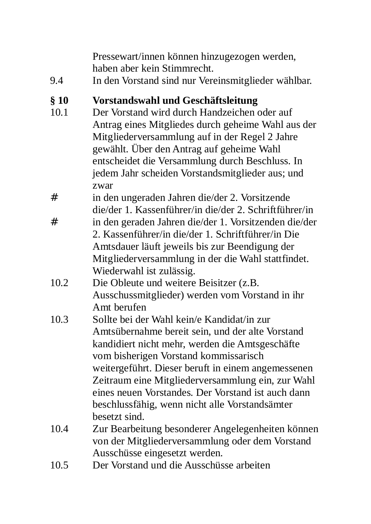Pressewart/innen können hinzugezogen werden, haben aber kein Stimmrecht.

 $94$ In den Vorstand sind nur Vereinsmitglieder wählbar.

#### $\delta$  10 Vorstandswahl und Geschäftsleitung

- $10<sub>1</sub>$ Der Vorstand wird durch Handzeichen oder auf Antrag eines Mitgliedes durch geheime Wahl aus der Mitgliederversammlung auf in der Regel 2 Jahre gewählt. Über den Antrag auf geheime Wahl entscheidet die Versammlung durch Beschluss. In jedem Jahr scheiden Vorstandsmitglieder aus; und zwar
- $#$ in den ungeraden Jahren die/der 2. Vorsitzende die/der 1. Kassenführer/in die/der 2. Schriftführer/in
- $#$ in den geraden Jahren die/der 1. Vorsitzenden die/der 2. Kassenführer/in die/der 1. Schriftführer/in Die Amtsdauer läuft jeweils bis zur Beendigung der Mitgliederversammlung in der die Wahl stattfindet. Wiederwahl ist zulässig.
- $10.2$ Die Obleute und weitere Beisitzer (z.B. Ausschussmitglieder) werden vom Vorstand in ihr Amt herufen
- $10.3$ Sollte bei der Wahl kein/e Kandidat/in zur Amtsübernahme bereit sein, und der alte Vorstand kandidiert nicht mehr, werden die Amtsgeschäfte vom bisherigen Vorstand kommissarisch weitergeführt. Dieser beruft in einem angemessenen Zeitraum eine Mitgliederversammlung ein, zur Wahl eines neuen Vorstandes. Der Vorstand ist auch dann beschlussfähig, wenn nicht alle Vorstandsämter besetzt sind.
- $10.4$ Zur Bearbeitung besonderer Angelegenheiten können von der Mitgliederversammlung oder dem Vorstand Ausschüsse eingesetzt werden.
- $10.5$ Der Vorstand und die Ausschüsse arbeiten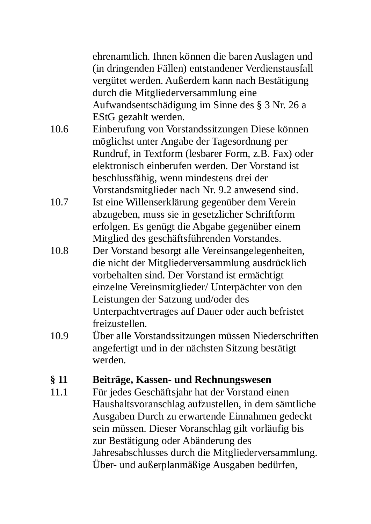ehrenamtlich. Ihnen können die baren Auslagen und (in dringenden Fällen) entstandener Verdienstausfall vergütet werden. Außerdem kann nach Bestätigung durch die Mitgliederversammlung eine Aufwandsentschädigung im Sinne des § 3 Nr. 26 a EStG gezahlt werden.

- $10<sub>6</sub>$ Einberufung von Vorstandssitzungen Diese können möglichst unter Angabe der Tagesordnung per Rundruf, in Textform (lesbarer Form, z.B. Fax) oder elektronisch einberufen werden. Der Vorstand ist beschlussfähig, wenn mindestens drei der Vorstandsmitglieder nach Nr. 9.2 anwesend sind.
- $107$ Ist eine Willenserklärung gegenüber dem Verein abzugeben, muss sie in gesetzlicher Schriftform erfolgen. Es genügt die Abgabe gegenüber einem Mitglied des geschäftsführenden Vorstandes.
- $10.8$ Der Vorstand besorgt alle Vereinsangelegenheiten, die nicht der Mitgliederversammlung ausdrücklich vorbehalten sind. Der Vorstand ist ermächtigt einzelne Vereinsmitglieder/ Unterpächter von den Leistungen der Satzung und/oder des Unterpachtvertrages auf Dauer oder auch befristet freizustellen.
- $109$ Über alle Vorstandssitzungen müssen Niederschriften angefertigt und in der nächsten Sitzung bestätigt werden.

#### Beiträge, Kassen- und Rechnungswesen  $§$  11

 $11.1$ Für jedes Geschäftsjahr hat der Vorstand einen Haushaltsvoranschlag aufzustellen, in dem sämtliche Ausgaben Durch zu erwartende Einnahmen gedeckt sein müssen. Dieser Voranschlag gilt vorläufig bis zur Bestätigung oder Abänderung des Jahresabschlusses durch die Mitgliederversammlung. Über- und außerplanmäßige Ausgaben bedürfen,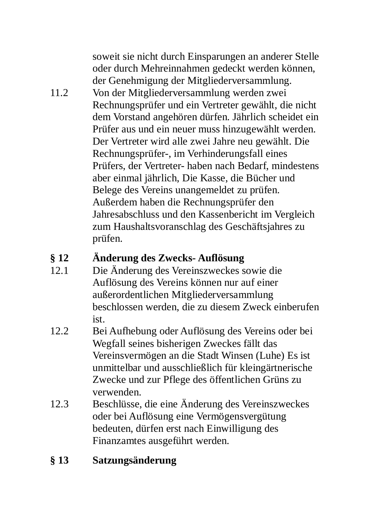soweit sie nicht durch Einsparungen an anderer Stelle oder durch Mehreinnahmen gedeckt werden können, der Genehmigung der Mitgliederversammlung.

 $11<sub>2</sub>$ Von der Mitgliederversammlung werden zwei Rechnungsprüfer und ein Vertreter gewählt, die nicht dem Vorstand angehören dürfen. Jährlich scheidet ein Prüfer aus und ein neuer muss hinzugewählt werden. Der Vertreter wird alle zwei Jahre neu gewählt. Die Rechnungsprüfer-, im Verhinderungsfall eines Prüfers. der Vertreter- haben nach Bedarf, mindestens aber einmal jährlich, Die Kasse, die Bücher und Belege des Vereins unangemeldet zu prüfen. Außerdem haben die Rechnungsprüfer den Jahresabschluss und den Kassenbericht im Vergleich zum Haushaltsvoranschlag des Geschäftsjahres zu prüfen.

#### Änderung des Zwecks-Auflösung  $\delta$  12

- Die Änderung des Vereinszweckes sowie die  $12.1$ Auflösung des Vereins können nur auf einer außerordentlichen Mitgliederversammlung beschlossen werden, die zu diesem Zweck einberufen. ist.
- $12.2$ Bei Aufhebung oder Auflösung des Vereins oder bei Wegfall seines bisherigen Zweckes fällt das Vereinsvermögen an die Stadt Winsen (Luhe) Es ist unmittelbar und ausschließlich für kleingärtnerische Zwecke und zur Pflege des öffentlichen Grüns zu verwenden.
- $12.3$ Beschlüsse, die eine Änderung des Vereinszweckes oder bei Auflösung eine Vermögensvergütung bedeuten, dürfen erst nach Einwilligung des Finanzamtes ausgeführt werden.

# $\S$  13 Satzungsänderung